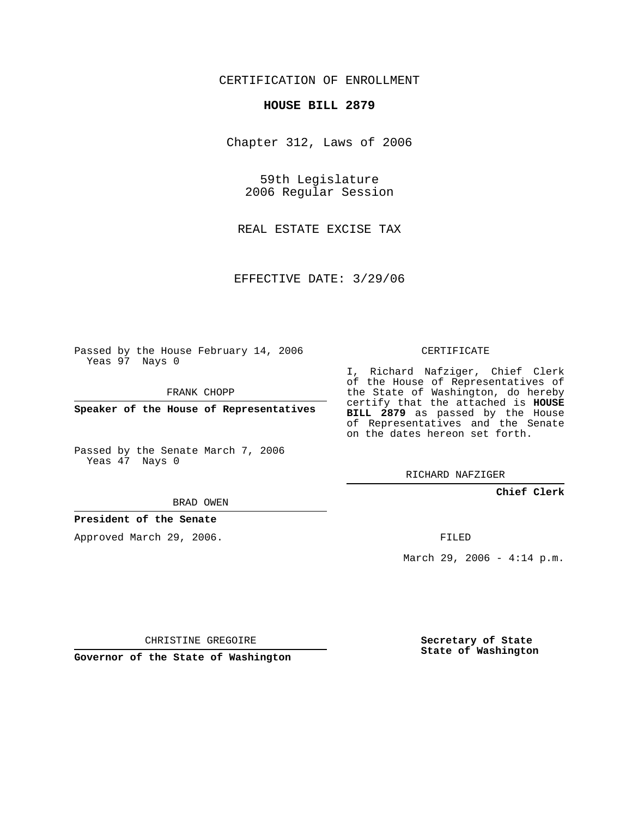# CERTIFICATION OF ENROLLMENT

## **HOUSE BILL 2879**

Chapter 312, Laws of 2006

59th Legislature 2006 Regular Session

REAL ESTATE EXCISE TAX

EFFECTIVE DATE: 3/29/06

Passed by the House February 14, 2006 Yeas 97 Nays 0

FRANK CHOPP

**Speaker of the House of Representatives**

Passed by the Senate March 7, 2006 Yeas 47 Nays 0

#### BRAD OWEN

## **President of the Senate**

Approved March 29, 2006.

### CERTIFICATE

I, Richard Nafziger, Chief Clerk of the House of Representatives of the State of Washington, do hereby certify that the attached is **HOUSE BILL 2879** as passed by the House of Representatives and the Senate on the dates hereon set forth.

RICHARD NAFZIGER

**Chief Clerk**

FILED

March 29, 2006 - 4:14 p.m.

CHRISTINE GREGOIRE

**Governor of the State of Washington**

**Secretary of State State of Washington**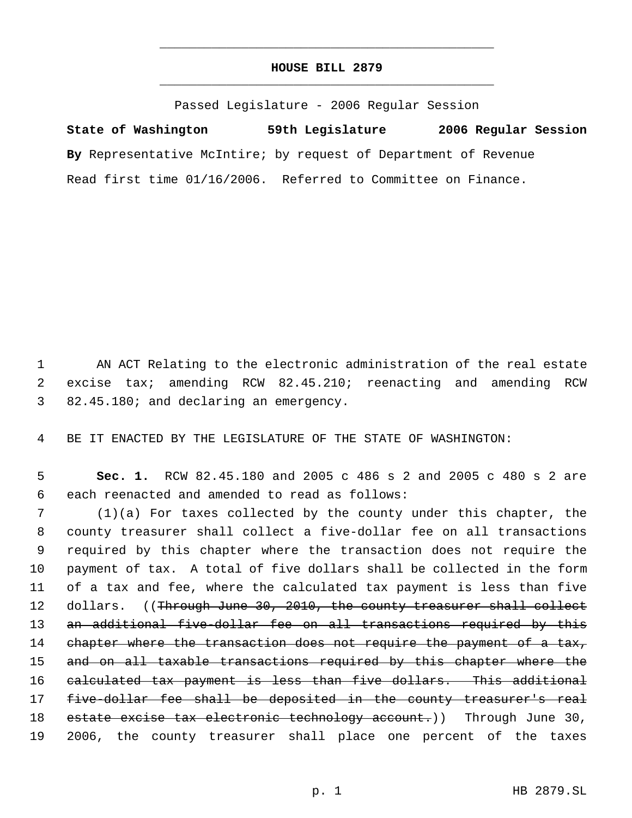# **HOUSE BILL 2879** \_\_\_\_\_\_\_\_\_\_\_\_\_\_\_\_\_\_\_\_\_\_\_\_\_\_\_\_\_\_\_\_\_\_\_\_\_\_\_\_\_\_\_\_\_

\_\_\_\_\_\_\_\_\_\_\_\_\_\_\_\_\_\_\_\_\_\_\_\_\_\_\_\_\_\_\_\_\_\_\_\_\_\_\_\_\_\_\_\_\_

Passed Legislature - 2006 Regular Session

**State of Washington 59th Legislature 2006 Regular Session By** Representative McIntire; by request of Department of Revenue Read first time 01/16/2006. Referred to Committee on Finance.

 1 AN ACT Relating to the electronic administration of the real estate 2 excise tax; amending RCW 82.45.210; reenacting and amending RCW 3 82.45.180; and declaring an emergency.

4 BE IT ENACTED BY THE LEGISLATURE OF THE STATE OF WASHINGTON:

 5 **Sec. 1.** RCW 82.45.180 and 2005 c 486 s 2 and 2005 c 480 s 2 are 6 each reenacted and amended to read as follows:

 7 (1)(a) For taxes collected by the county under this chapter, the 8 county treasurer shall collect a five-dollar fee on all transactions 9 required by this chapter where the transaction does not require the 10 payment of tax. A total of five dollars shall be collected in the form 11 of a tax and fee, where the calculated tax payment is less than five 12 dollars. ((Through June 30, 2010, the county treasurer shall collect 13 an additional five-dollar fee on all transactions required by this 14 chapter where the transaction does not require the payment of a tax, 15 and on all taxable transactions required by this chapter where the 16 calculated tax payment is less than five dollars. This additional 17 five-dollar fee shall be deposited in the county treasurer's real 18 estate excise tax electronic technology account.)) Through June 30, 19 2006, the county treasurer shall place one percent of the taxes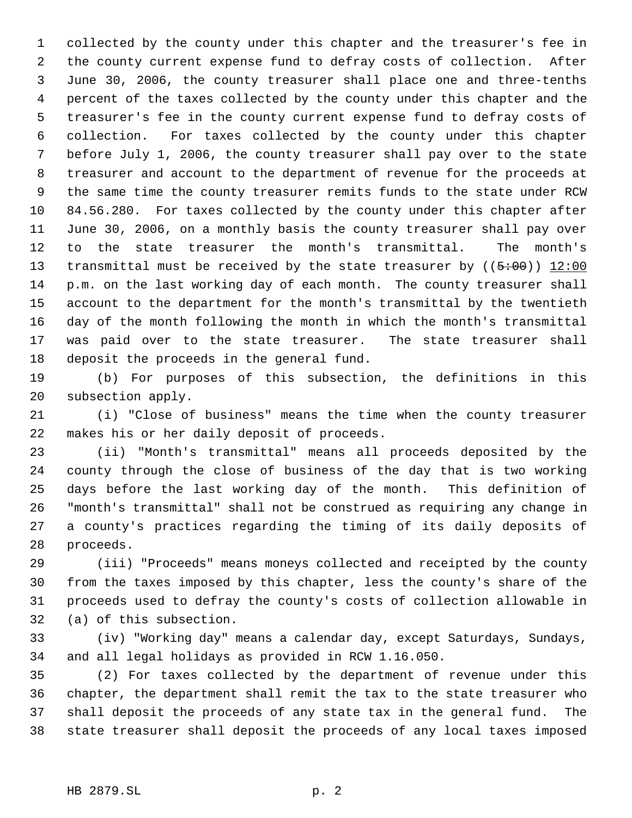collected by the county under this chapter and the treasurer's fee in the county current expense fund to defray costs of collection. After June 30, 2006, the county treasurer shall place one and three-tenths percent of the taxes collected by the county under this chapter and the treasurer's fee in the county current expense fund to defray costs of collection. For taxes collected by the county under this chapter before July 1, 2006, the county treasurer shall pay over to the state treasurer and account to the department of revenue for the proceeds at the same time the county treasurer remits funds to the state under RCW 84.56.280. For taxes collected by the county under this chapter after June 30, 2006, on a monthly basis the county treasurer shall pay over to the state treasurer the month's transmittal. The month's 13 transmittal must be received by the state treasurer by  $((5:00)$  12:00 p.m. on the last working day of each month. The county treasurer shall account to the department for the month's transmittal by the twentieth day of the month following the month in which the month's transmittal was paid over to the state treasurer. The state treasurer shall deposit the proceeds in the general fund.

 (b) For purposes of this subsection, the definitions in this subsection apply.

 (i) "Close of business" means the time when the county treasurer makes his or her daily deposit of proceeds.

 (ii) "Month's transmittal" means all proceeds deposited by the county through the close of business of the day that is two working days before the last working day of the month. This definition of "month's transmittal" shall not be construed as requiring any change in a county's practices regarding the timing of its daily deposits of proceeds.

 (iii) "Proceeds" means moneys collected and receipted by the county from the taxes imposed by this chapter, less the county's share of the proceeds used to defray the county's costs of collection allowable in (a) of this subsection.

 (iv) "Working day" means a calendar day, except Saturdays, Sundays, and all legal holidays as provided in RCW 1.16.050.

 (2) For taxes collected by the department of revenue under this chapter, the department shall remit the tax to the state treasurer who shall deposit the proceeds of any state tax in the general fund. The state treasurer shall deposit the proceeds of any local taxes imposed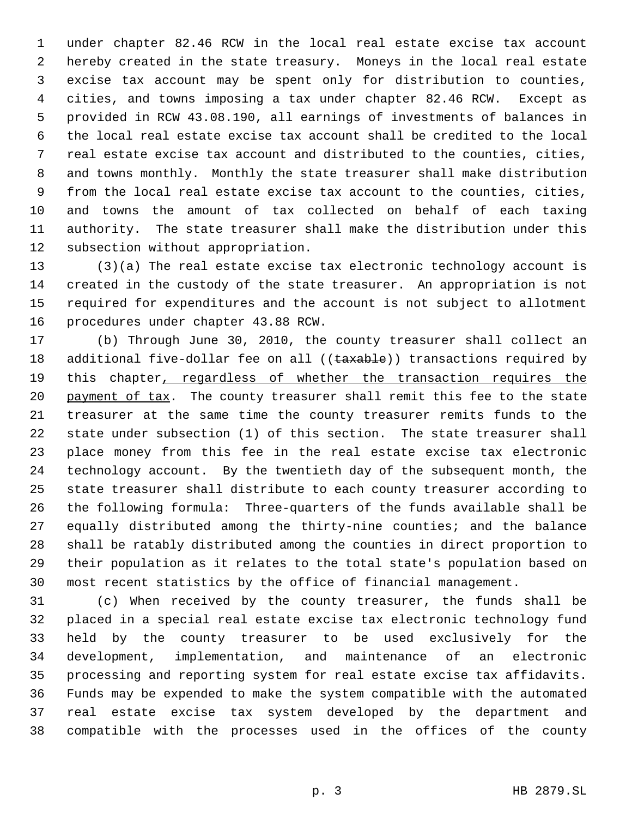under chapter 82.46 RCW in the local real estate excise tax account hereby created in the state treasury. Moneys in the local real estate excise tax account may be spent only for distribution to counties, cities, and towns imposing a tax under chapter 82.46 RCW. Except as provided in RCW 43.08.190, all earnings of investments of balances in the local real estate excise tax account shall be credited to the local real estate excise tax account and distributed to the counties, cities, and towns monthly. Monthly the state treasurer shall make distribution from the local real estate excise tax account to the counties, cities, and towns the amount of tax collected on behalf of each taxing authority. The state treasurer shall make the distribution under this subsection without appropriation.

 (3)(a) The real estate excise tax electronic technology account is created in the custody of the state treasurer. An appropriation is not required for expenditures and the account is not subject to allotment procedures under chapter 43.88 RCW.

 (b) Through June 30, 2010, the county treasurer shall collect an 18 additional five-dollar fee on all ((taxable)) transactions required by 19 this chapter, regardless of whether the transaction requires the 20 payment of tax. The county treasurer shall remit this fee to the state treasurer at the same time the county treasurer remits funds to the state under subsection (1) of this section. The state treasurer shall place money from this fee in the real estate excise tax electronic technology account. By the twentieth day of the subsequent month, the state treasurer shall distribute to each county treasurer according to the following formula: Three-quarters of the funds available shall be equally distributed among the thirty-nine counties; and the balance shall be ratably distributed among the counties in direct proportion to their population as it relates to the total state's population based on most recent statistics by the office of financial management.

 (c) When received by the county treasurer, the funds shall be placed in a special real estate excise tax electronic technology fund held by the county treasurer to be used exclusively for the development, implementation, and maintenance of an electronic processing and reporting system for real estate excise tax affidavits. Funds may be expended to make the system compatible with the automated real estate excise tax system developed by the department and compatible with the processes used in the offices of the county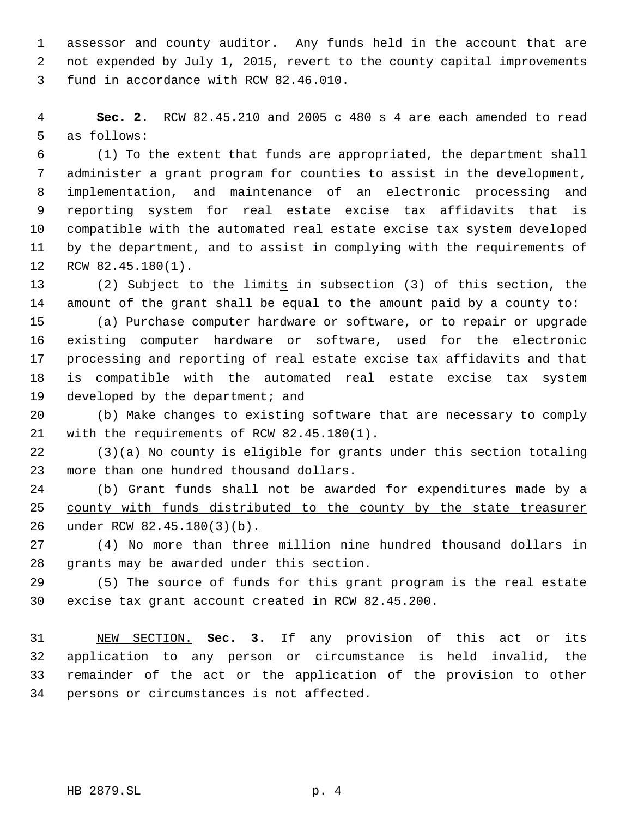assessor and county auditor. Any funds held in the account that are not expended by July 1, 2015, revert to the county capital improvements fund in accordance with RCW 82.46.010.

 **Sec. 2.** RCW 82.45.210 and 2005 c 480 s 4 are each amended to read as follows:

 (1) To the extent that funds are appropriated, the department shall administer a grant program for counties to assist in the development, implementation, and maintenance of an electronic processing and reporting system for real estate excise tax affidavits that is compatible with the automated real estate excise tax system developed by the department, and to assist in complying with the requirements of RCW 82.45.180(1).

 (2) Subject to the limits in subsection (3) of this section, the amount of the grant shall be equal to the amount paid by a county to:

 (a) Purchase computer hardware or software, or to repair or upgrade existing computer hardware or software, used for the electronic processing and reporting of real estate excise tax affidavits and that is compatible with the automated real estate excise tax system developed by the department; and

 (b) Make changes to existing software that are necessary to comply with the requirements of RCW 82.45.180(1).

22 (3)(a) No county is eligible for grants under this section totaling more than one hundred thousand dollars.

 (b) Grant funds shall not be awarded for expenditures made by a 25 county with funds distributed to the county by the state treasurer under RCW 82.45.180(3)(b).

 (4) No more than three million nine hundred thousand dollars in grants may be awarded under this section.

 (5) The source of funds for this grant program is the real estate excise tax grant account created in RCW 82.45.200.

 NEW SECTION. **Sec. 3.** If any provision of this act or its application to any person or circumstance is held invalid, the remainder of the act or the application of the provision to other persons or circumstances is not affected.